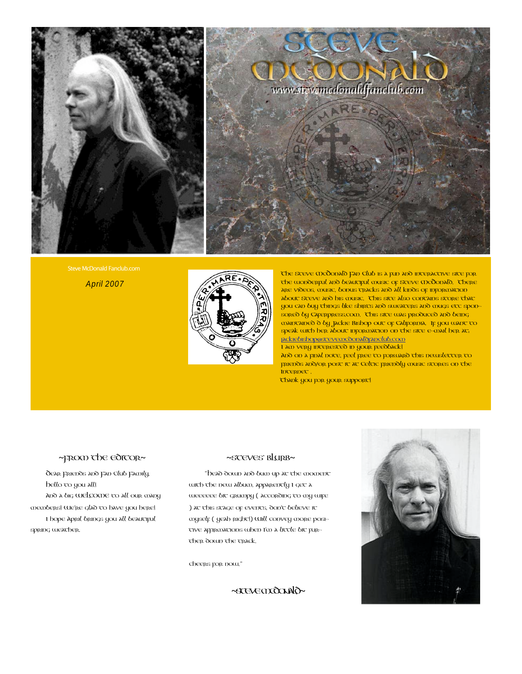

Steve McDonald Fanclub.com

April 2007



The Steve McDonald Fan Club is a fun and interactive site for the wonderful and beautiful music of Steve McDonald. There are videos, music, bonus tracks and all kinds of information about Steve and his music. This site also contains store that you can buy things like shirts and sweaters and mugs etc sponsored by Caferpress.com. This site was produced and being maintained d by Jackie Bishop out of California. If you want to speak with her about information on the site e-mail her at: [jackiebishop@stevemcdonaldfanclub.com](mailto:jackiebishop@stevemcdonaldfanclub.com) I am very interested in your feedback!

And on a final note, feel free to forward this newsletter to friends and/or post it at Celtic friendly music stores on the Internet .

Thank you for your support!

## ~FROM The editor~

Dear Friends and Fan Club Family, Hello to you all! And a big WELCOME to all our many members! We're glad to have you here! I hope April brings you all beautiful spring weather.

### ~STEVES' BLURB~

"Head down and bum up at the moment wirch the new album, apparently I get a weeeeee bic grumpy (according to my wife ) at this stage of events, don't believe it myself ( yeah right!) Will convey more positive approacions when I'm a little bic purther down the track.

cheers for now."

~STEVEMCDONALD~

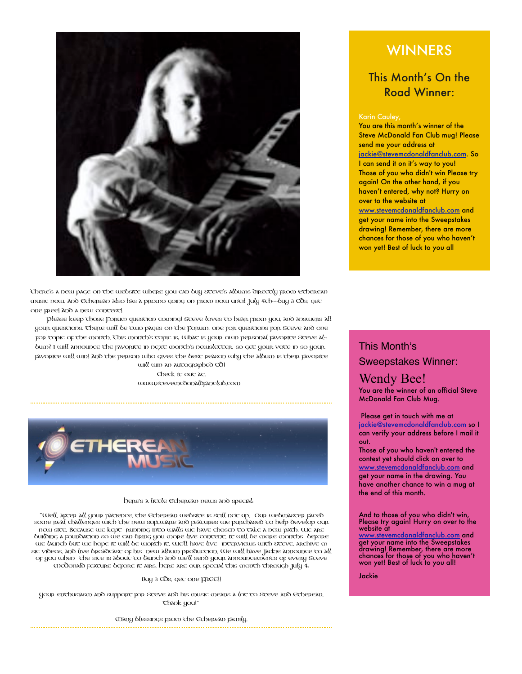

There's a new page on the website where you can buy Steve's albums directly from Etherean music now. And Etherean also has a promo going on from now until July 4th--buy 3 CDs, get one free! And a new contest!

Please keep those Forum question coming! Steve loves to hear from you, and answers all your questions. There will be two pages on the Forum, one for questions for Steve and one for topic of the month. This month's topic is: What is your own personal favorite Steve album? I will announce the favorite in next month's newsletter, so get your vote in so your favorite will win! And the person who gives the best reason why the album is their favorite

will win an autographed CD! Check it out at: www.stevemcdonaldfanclub.com



#### Here's a little Etherean news and special:

"Well, after all your patience, the Etherean website is still not up. Our webmaster faced some real challenges with the new software and features we purchased to help develop our new site. Because we kept running into walls we have chosen to take a new path. We are building a foundation so we can bring you more live content. It will be more months before we launch but we hope it will be worth it. We'll have live interpriews with Steve, archive m sic videos, and live broadcast of his new album production. We will have Jackie announce to all of you when the site is about to launch and we'll send your announcements of every Steve McDonald feature before it airs. Here are our special this month through July 4:

#### Buy 3 CDs, get one FREE!!

Your enthusiasm and support for Steve and his music means a lot to Steve and Etherean. Thank you!"

Many blessings from the Etherean family.

# **WINNERS**

# This Month's On the Road Winner:

You are this month's winner of the Steve McDonald Fan Club mug! Please send me your address at [jackie@stevemcdonaldfanclub.com.](mailto:jackie@stevemcdonaldfanclub.com) So I can send it on it's way to you! Those of you who didn't win Please try again! On the other hand, if you haven't entered, why not? Hurry on over to the website at [www.stevemcdonaldfanclub.com](http://www.stevemcdonaldfanclub.com) and get your name into the Sweepstakes drawing! Remember, there are more chances for those of you who haven't won yet! Best of luck to you all

# This Month's Sweepstakes Winner:

## Wendy Bee! You are the winner of an official Steve

McDonald Fan Club Mug.

 Please get in touch with me at [jackie@stevemcdonaldfanclub.com](mailto:jackie@stevemcdonaldfanclub.com) so I can verify your address before I mail it out.

Those of you who haven't entered the contest yet should click on over to [www.stevemcdonaldfanclub.com](http://www.stevemcdonaldfanclub.com) and get your name in the drawing. You have another chance to win a mug at the end of this month.

And to those of you who didn't win, Please try again! Hurry on over to the website at

[www.stevemcdonaldfanclub.com](http://www.stevemcdonaldfanclub.com) and get your name into the Sweepstakes drawing! Remember, there are more chances for those of you who haven't won yet! Best of luck to you all!

Jackie